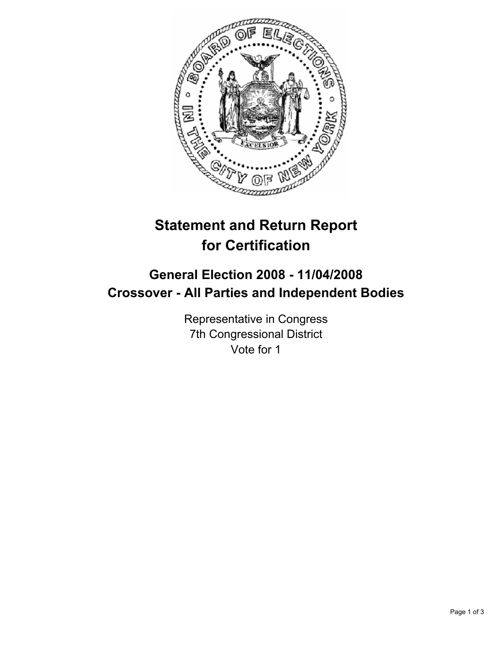

# **Statement and Return Report for Certification**

# **General Election 2008 - 11/04/2008 Crossover - All Parties and Independent Bodies**

Representative in Congress 7th Congressional District Vote for 1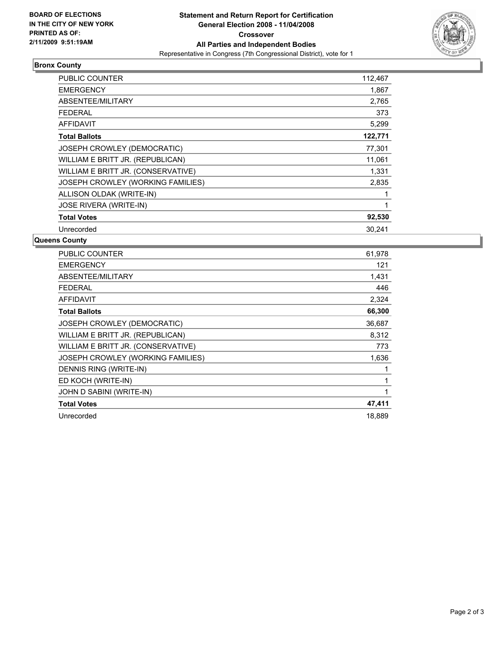

## **Bronx County**

| PUBLIC COUNTER                     | 112,467 |
|------------------------------------|---------|
| <b>EMERGENCY</b>                   | 1,867   |
| ABSENTEE/MILITARY                  | 2,765   |
| <b>FEDERAL</b>                     | 373     |
| <b>AFFIDAVIT</b>                   | 5,299   |
| <b>Total Ballots</b>               | 122,771 |
| JOSEPH CROWLEY (DEMOCRATIC)        | 77,301  |
| WILLIAM E BRITT JR. (REPUBLICAN)   | 11,061  |
| WILLIAM E BRITT JR. (CONSERVATIVE) | 1,331   |
| JOSEPH CROWLEY (WORKING FAMILIES)  | 2,835   |
| ALLISON OLDAK (WRITE-IN)           |         |
| <b>JOSE RIVERA (WRITE-IN)</b>      |         |
| <b>Total Votes</b>                 | 92,530  |
| Unrecorded                         | 30,241  |

#### **Queens County**

| <b>PUBLIC COUNTER</b>              | 61,978 |
|------------------------------------|--------|
| <b>EMERGENCY</b>                   | 121    |
| ABSENTEE/MILITARY                  | 1,431  |
| <b>FEDERAL</b>                     | 446    |
| <b>AFFIDAVIT</b>                   | 2,324  |
| <b>Total Ballots</b>               | 66,300 |
| JOSEPH CROWLEY (DEMOCRATIC)        | 36,687 |
| WILLIAM E BRITT JR. (REPUBLICAN)   | 8,312  |
| WILLIAM E BRITT JR. (CONSERVATIVE) | 773    |
| JOSEPH CROWLEY (WORKING FAMILIES)  | 1,636  |
| DENNIS RING (WRITE-IN)             |        |
| ED KOCH (WRITE-IN)                 |        |
| JOHN D SABINI (WRITE-IN)           |        |
| <b>Total Votes</b>                 | 47,411 |
| Unrecorded                         | 18,889 |
|                                    |        |